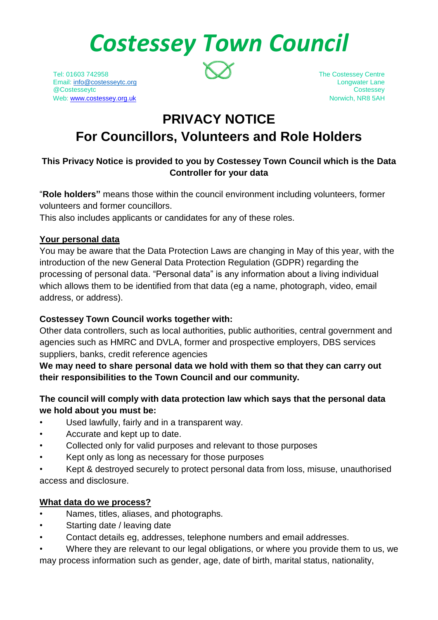# *Costessey Town Council*

Tel: 01603 742958 The Costessey Centre Email: [info@costesseytc.org](mailto:info@costesseytc.org) longwater Lane @Costesseytc Costessey Web[: www.costessey.org.uk](http://www.costessey.org.uk/) Norwich, NR8 5AH



# **PRIVACY NOTICE**

# **For Councillors, Volunteers and Role Holders**

## **This Privacy Notice is provided to you by Costessey Town Council which is the Data Controller for your data**

"**Role holders"** means those within the council environment including volunteers, former volunteers and former councillors.

This also includes applicants or candidates for any of these roles.

#### **Your personal data**

You may be aware that the Data Protection Laws are changing in May of this year, with the introduction of the new General Data Protection Regulation (GDPR) regarding the processing of personal data. "Personal data" is any information about a living individual which allows them to be identified from that data (eg a name, photograph, video, email address, or address).

#### **Costessey Town Council works together with:**

Other data controllers, such as local authorities, public authorities, central government and agencies such as HMRC and DVLA, former and prospective employers, DBS services suppliers, banks, credit reference agencies

**We may need to share personal data we hold with them so that they can carry out their responsibilities to the Town Council and our community.**

#### **The council will comply with data protection law which says that the personal data we hold about you must be:**

- Used lawfully, fairly and in a transparent way.
- Accurate and kept up to date.
- Collected only for valid purposes and relevant to those purposes
- Kept only as long as necessary for those purposes
- Kept & destroyed securely to protect personal data from loss, misuse, unauthorised access and disclosure.

#### **What data do we process?**

- Names, titles, aliases, and photographs.
- Starting date / leaving date
- Contact details eg, addresses, telephone numbers and email addresses.
- Where they are relevant to our legal obligations, or where you provide them to us, we may process information such as gender, age, date of birth, marital status, nationality,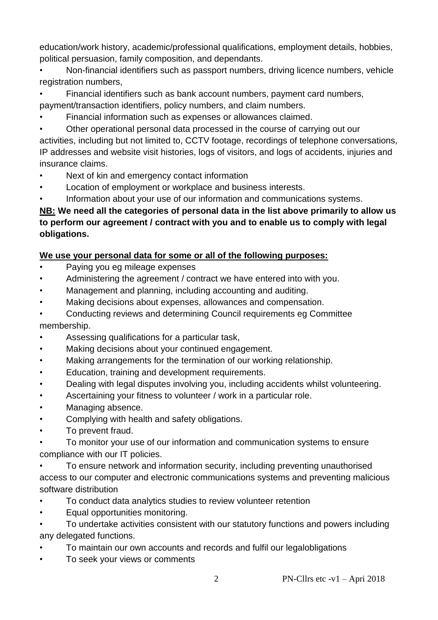education/work history, academic/professional qualifications, employment details, hobbies, political persuasion, family composition, and dependants.

• Non-financial identifiers such as passport numbers, driving licence numbers, vehicle registration numbers,

• Financial identifiers such as bank account numbers, payment card numbers,

payment/transaction identifiers, policy numbers, and claim numbers.

• Financial information such as expenses or allowances claimed.

• Other operational personal data processed in the course of carrying out our activities, including but not limited to, CCTV footage, recordings of telephone conversations, IP addresses and website visit histories, logs of visitors, and logs of accidents, injuries and insurance claims.

- Next of kin and emergency contact information
- Location of employment or workplace and business interests.
- Information about your use of our information and communications systems.

# **NB: We need all the categories of personal data in the list above primarily to allow us to perform our agreement / contract with you and to enable us to comply with legal obligations.**

### **We use your personal data for some or all of the following purposes:**

- Paying you eg mileage expenses
- Administering the agreement / contract we have entered into with you.
- Management and planning, including accounting and auditing.
- Making decisions about expenses, allowances and compensation.
- Conducting reviews and determining Council requirements eg Committee membership.
- Assessing qualifications for a particular task,
- Making decisions about your continued engagement.
- Making arrangements for the termination of our working relationship.
- Education, training and development requirements.
- Dealing with legal disputes involving you, including accidents whilst volunteering.
- Ascertaining your fitness to volunteer / work in a particular role.
- Managing absence.
- Complying with health and safety obligations.
- To prevent fraud.
- To monitor your use of our information and communication systems to ensure compliance with our IT policies.
- To ensure network and information security, including preventing unauthorised access to our computer and electronic communications systems and preventing malicious software distribution
- To conduct data analytics studies to review volunteer retention
- Equal opportunities monitoring.
- To undertake activities consistent with our statutory functions and powers including any delegated functions.
- To maintain our own accounts and records and fulfil our legalobligations
- To seek your views or comments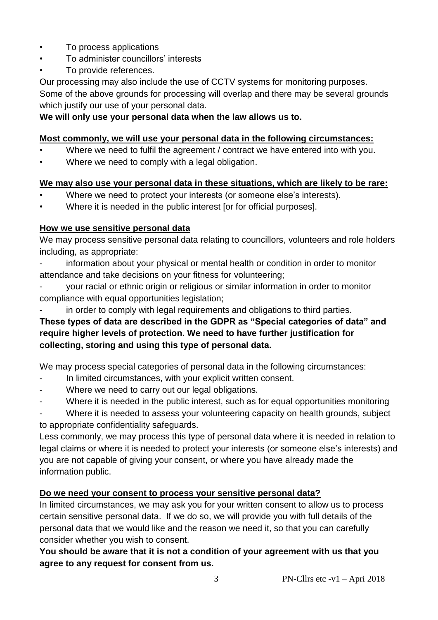- To process applications
- To administer councillors' interests
- To provide references.

Our processing may also include the use of CCTV systems for monitoring purposes. Some of the above grounds for processing will overlap and there may be several grounds which justify our use of your personal data.

#### **We will only use your personal data when the law allows us to.**

#### **Most commonly, we will use your personal data in the following circumstances:**

- Where we need to fulfil the agreement / contract we have entered into with you.
- Where we need to comply with a legal obligation.

#### **We may also use your personal data in these situations, which are likely to be rare:**

- Where we need to protect your interests (or someone else's interests).
- Where it is needed in the public interest [or for official purposes].

#### **How we use sensitive personal data**

We may process sensitive personal data relating to councillors, volunteers and role holders including, as appropriate:

information about your physical or mental health or condition in order to monitor attendance and take decisions on your fitness for volunteering;

- your racial or ethnic origin or religious or similar information in order to monitor compliance with equal opportunities legislation;
- in order to comply with legal requirements and obligations to third parties.

#### **These types of data are described in the GDPR as "Special categories of data" and require higher levels of protection. We need to have further justification for collecting, storing and using this type of personal data.**

We may process special categories of personal data in the following circumstances:

- In limited circumstances, with your explicit written consent.
- Where we need to carry out our legal obligations.
- Where it is needed in the public interest, such as for equal opportunities monitoring

Where it is needed to assess your volunteering capacity on health grounds, subject to appropriate confidentiality safeguards.

Less commonly, we may process this type of personal data where it is needed in relation to legal claims or where it is needed to protect your interests (or someone else's interests) and you are not capable of giving your consent, or where you have already made the information public.

#### **Do we need your consent to process your sensitive personal data?**

In limited circumstances, we may ask you for your written consent to allow us to process certain sensitive personal data. If we do so, we will provide you with full details of the personal data that we would like and the reason we need it, so that you can carefully consider whether you wish to consent.

**You should be aware that it is not a condition of your agreement with us that you agree to any request for consent from us.**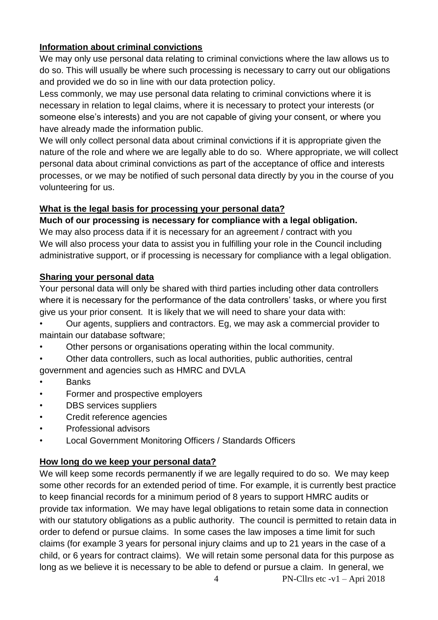#### **Information about criminal convictions**

We may only use personal data relating to criminal convictions where the law allows us to do so. This will usually be where such processing is necessary to carry out our obligations and provided we do so in line with our data protection policy.

Less commonly, we may use personal data relating to criminal convictions where it is necessary in relation to legal claims, where it is necessary to protect your interests (or someone else's interests) and you are not capable of giving your consent, or where you have already made the information public.

We will only collect personal data about criminal convictions if it is appropriate given the nature of the role and where we are legally able to do so. Where appropriate, we will collect personal data about criminal convictions as part of the acceptance of office and interests processes, or we may be notified of such personal data directly by you in the course of you volunteering for us.

#### **What is the legal basis for processing your personal data?**

#### **Much of our processing is necessary for compliance with a legal obligation.**

We may also process data if it is necessary for an agreement / contract with you We will also process your data to assist you in fulfilling your role in the Council including administrative support, or if processing is necessary for compliance with a legal obligation.

#### **Sharing your personal data**

Your personal data will only be shared with third parties including other data controllers where it is necessary for the performance of the data controllers' tasks, or where you first give us your prior consent. It is likely that we will need to share your data with:

• Our agents, suppliers and contractors. Eg, we may ask a commercial provider to maintain our database software;

• Other persons or organisations operating within the local community.

• Other data controllers, such as local authorities, public authorities, central government and agencies such as HMRC and DVLA

- Banks
- Former and prospective employers
- DBS services suppliers
- Credit reference agencies
- Professional advisors
- Local Government Monitoring Officers / Standards Officers

#### **How long do we keep your personal data?**

We will keep some records permanently if we are legally required to do so. We may keep some other records for an extended period of time. For example, it is currently best practice to keep financial records for a minimum period of 8 years to support HMRC audits or provide tax information. We may have legal obligations to retain some data in connection with our statutory obligations as a public authority. The council is permitted to retain data in order to defend or pursue claims. In some cases the law imposes a time limit for such claims (for example 3 years for personal injury claims and up to 21 years in the case of a child, or 6 years for contract claims). We will retain some personal data for this purpose as long as we believe it is necessary to be able to defend or pursue a claim. In general, we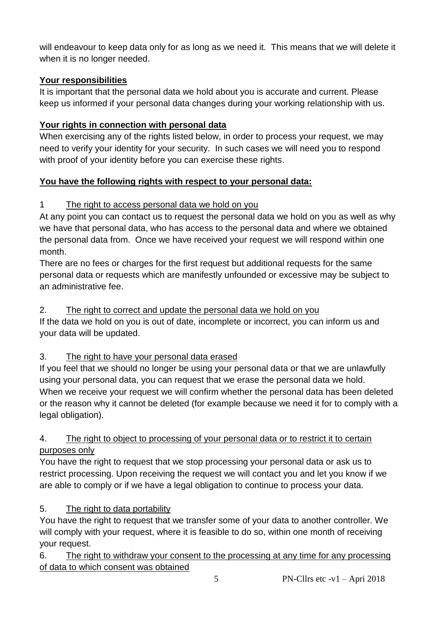will endeavour to keep data only for as long as we need it. This means that we will delete it when it is no longer needed.

## **Your responsibilities**

It is important that the personal data we hold about you is accurate and current. Please keep us informed if your personal data changes during your working relationship with us.

# **Your rights in connection with personal data**

When exercising any of the rights listed below, in order to process your request, we may need to verify your identity for your security. In such cases we will need you to respond with proof of your identity before you can exercise these rights.

# **You have the following rights with respect to your personal data:**

# 1 The right to access personal data we hold on you

At any point you can contact us to request the personal data we hold on you as well as why we have that personal data, who has access to the personal data and where we obtained the personal data from. Once we have received your request we will respond within one month.

There are no fees or charges for the first request but additional requests for the same personal data or requests which are manifestly unfounded or excessive may be subject to an administrative fee.

# 2. The right to correct and update the personal data we hold on you

If the data we hold on you is out of date, incomplete or incorrect, you can inform us and your data will be updated.

# 3. The right to have your personal data erased

If you feel that we should no longer be using your personal data or that we are unlawfully using your personal data, you can request that we erase the personal data we hold. When we receive your request we will confirm whether the personal data has been deleted or the reason why it cannot be deleted (for example because we need it for to comply with a legal obligation).

### 4. The right to object to processing of your personal data or to restrict it to certain purposes only

You have the right to request that we stop processing your personal data or ask us to restrict processing. Upon receiving the request we will contact you and let you know if we are able to comply or if we have a legal obligation to continue to process your data.

# 5. The right to data portability

You have the right to request that we transfer some of your data to another controller. We will comply with your request, where it is feasible to do so, within one month of receiving your request.

6. The right to withdraw your consent to the processing at any time for any processing of data to which consent was obtained